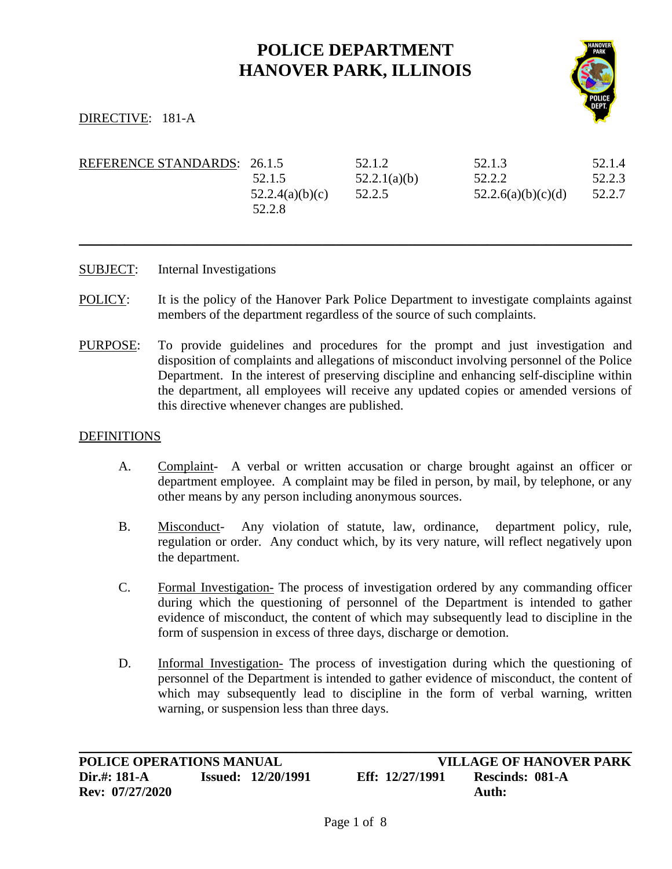# **POLICE DEPARTMENT HANOVER PARK, ILLINOIS**



## DIRECTIVE: 181-A

| REFERENCE STANDARDS: 26.1.5 |                           | 52.1.2       | 52.1.3             | 52.1.4 |
|-----------------------------|---------------------------|--------------|--------------------|--------|
|                             | 52.1.5                    | 52.2.1(a)(b) | 52.2.2             | 52.2.3 |
|                             | 52.2.4(a)(b)(c)<br>52.2.8 | 52.2.5       | 52.2.6(a)(b)(c)(d) | 52.2.7 |

\_\_\_\_\_\_\_\_\_\_\_\_\_\_\_\_\_\_\_\_\_\_\_\_\_\_\_\_\_\_\_\_\_\_\_\_\_\_\_\_\_\_\_\_\_\_\_\_\_\_\_\_\_\_\_\_\_\_\_\_\_\_\_\_\_\_\_\_\_\_\_\_\_\_\_\_\_\_\_\_\_\_\_\_

- SUBJECT: Internal Investigations
- POLICY: It is the policy of the Hanover Park Police Department to investigate complaints against members of the department regardless of the source of such complaints.
- PURPOSE: To provide guidelines and procedures for the prompt and just investigation and disposition of complaints and allegations of misconduct involving personnel of the Police Department. In the interest of preserving discipline and enhancing self-discipline within the department, all employees will receive any updated copies or amended versions of this directive whenever changes are published.

#### DEFINITIONS

- A. Complaint- A verbal or written accusation or charge brought against an officer or department employee. A complaint may be filed in person, by mail, by telephone, or any other means by any person including anonymous sources.
- B. Misconduct- Any violation of statute, law, ordinance, department policy, rule, regulation or order. Any conduct which, by its very nature, will reflect negatively upon the department.
- C. Formal Investigation- The process of investigation ordered by any commanding officer during which the questioning of personnel of the Department is intended to gather evidence of misconduct, the content of which may subsequently lead to discipline in the form of suspension in excess of three days, discharge or demotion.
- D. Informal Investigation- The process of investigation during which the questioning of personnel of the Department is intended to gather evidence of misconduct, the content of which may subsequently lead to discipline in the form of verbal warning, written warning, or suspension less than three days.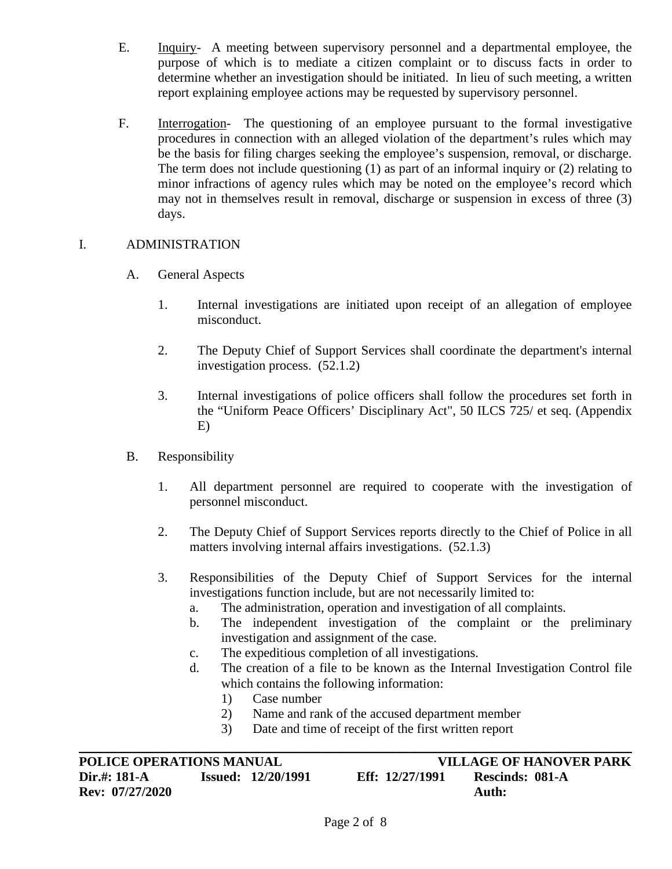- E. Inquiry- A meeting between supervisory personnel and a departmental employee, the purpose of which is to mediate a citizen complaint or to discuss facts in order to determine whether an investigation should be initiated. In lieu of such meeting, a written report explaining employee actions may be requested by supervisory personnel.
- F. Interrogation- The questioning of an employee pursuant to the formal investigative procedures in connection with an alleged violation of the department's rules which may be the basis for filing charges seeking the employee's suspension, removal, or discharge. The term does not include questioning (1) as part of an informal inquiry or (2) relating to minor infractions of agency rules which may be noted on the employee's record which may not in themselves result in removal, discharge or suspension in excess of three (3) days.

## I. ADMINISTRATION

- A. General Aspects
	- 1. Internal investigations are initiated upon receipt of an allegation of employee misconduct.
	- 2. The Deputy Chief of Support Services shall coordinate the department's internal investigation process. (52.1.2)
	- 3. Internal investigations of police officers shall follow the procedures set forth in the "Uniform Peace Officers' Disciplinary Act", 50 ILCS 725/ et seq. (Appendix E)
- B. Responsibility
	- 1. All department personnel are required to cooperate with the investigation of personnel misconduct.
	- 2. The Deputy Chief of Support Services reports directly to the Chief of Police in all matters involving internal affairs investigations. (52.1.3)
	- 3. Responsibilities of the Deputy Chief of Support Services for the internal investigations function include, but are not necessarily limited to:
		- a. The administration, operation and investigation of all complaints.
		- b. The independent investigation of the complaint or the preliminary investigation and assignment of the case.
		- c. The expeditious completion of all investigations.
		- d. The creation of a file to be known as the Internal Investigation Control file which contains the following information:
			- 1) Case number
			- 2) Name and rank of the accused department member
			- 3) Date and time of receipt of the first written report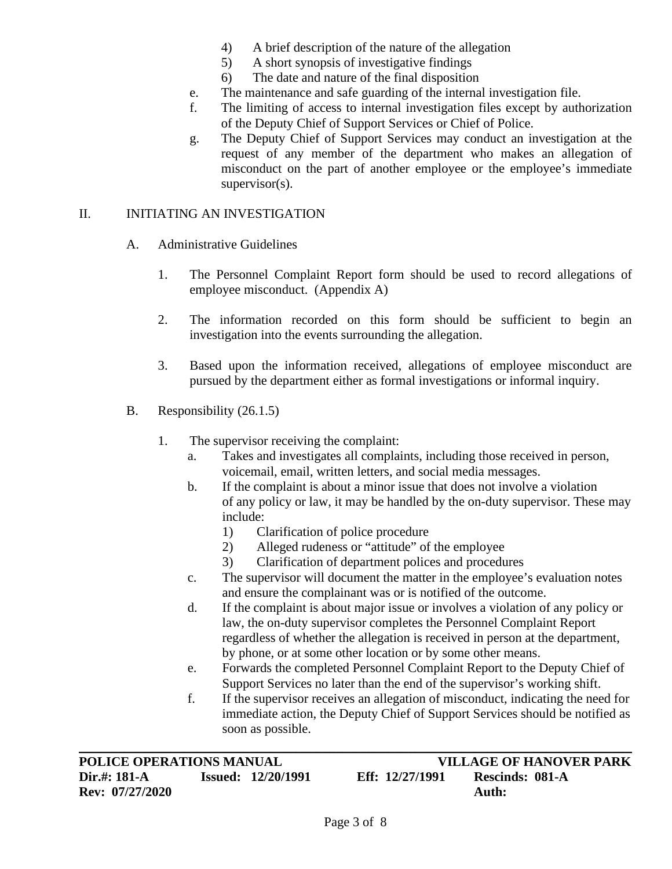- 4) A brief description of the nature of the allegation
- 5) A short synopsis of investigative findings
- 6) The date and nature of the final disposition
- e. The maintenance and safe guarding of the internal investigation file.
- f. The limiting of access to internal investigation files except by authorization of the Deputy Chief of Support Services or Chief of Police.
- g. The Deputy Chief of Support Services may conduct an investigation at the request of any member of the department who makes an allegation of misconduct on the part of another employee or the employee's immediate supervisor(s).

## II. INITIATING AN INVESTIGATION

- A. Administrative Guidelines
	- 1. The Personnel Complaint Report form should be used to record allegations of employee misconduct. (Appendix A)
	- 2. The information recorded on this form should be sufficient to begin an investigation into the events surrounding the allegation.
	- 3. Based upon the information received, allegations of employee misconduct are pursued by the department either as formal investigations or informal inquiry.
- B. Responsibility (26.1.5)
	- 1. The supervisor receiving the complaint:
		- a. Takes and investigates all complaints, including those received in person, voicemail, email, written letters, and social media messages.
		- b. If the complaint is about a minor issue that does not involve a violation of any policy or law, it may be handled by the on-duty supervisor. These may include:
			- 1) Clarification of police procedure
			- 2) Alleged rudeness or "attitude" of the employee
			- 3) Clarification of department polices and procedures
		- c. The supervisor will document the matter in the employee's evaluation notes and ensure the complainant was or is notified of the outcome.
		- d. If the complaint is about major issue or involves a violation of any policy or law, the on-duty supervisor completes the Personnel Complaint Report regardless of whether the allegation is received in person at the department, by phone, or at some other location or by some other means.
		- e. Forwards the completed Personnel Complaint Report to the Deputy Chief of Support Services no later than the end of the supervisor's working shift.
		- f. If the supervisor receives an allegation of misconduct, indicating the need for immediate action, the Deputy Chief of Support Services should be notified as soon as possible.

**POLICE OPERATIONS MANUAL VILLAGE OF HANOVER PARK**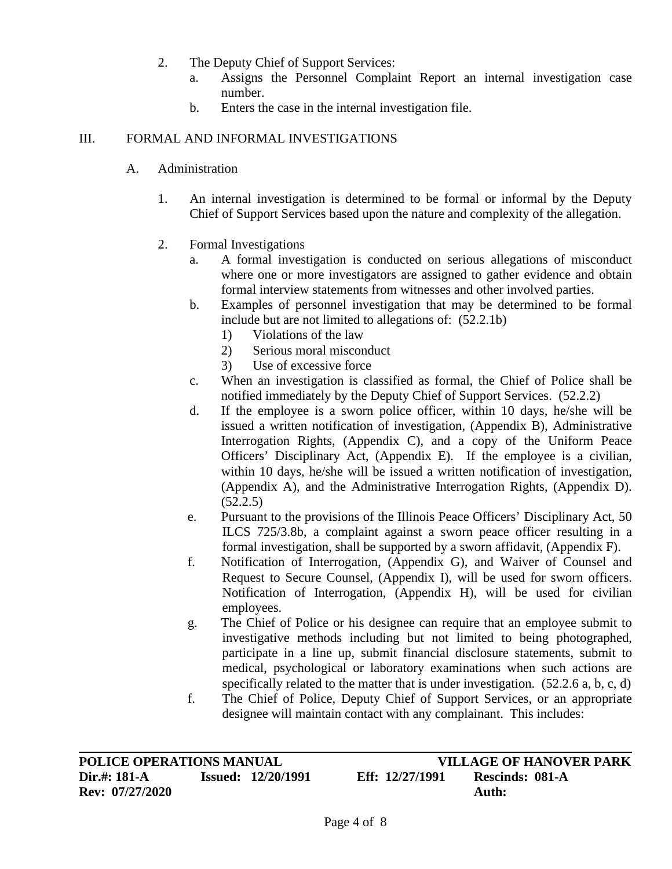- 2. The Deputy Chief of Support Services:
	- a. Assigns the Personnel Complaint Report an internal investigation case number.
	- b. Enters the case in the internal investigation file.

## III. FORMAL AND INFORMAL INVESTIGATIONS

- A. Administration
	- 1. An internal investigation is determined to be formal or informal by the Deputy Chief of Support Services based upon the nature and complexity of the allegation.
	- 2. Formal Investigations
		- a. A formal investigation is conducted on serious allegations of misconduct where one or more investigators are assigned to gather evidence and obtain formal interview statements from witnesses and other involved parties.
		- b. Examples of personnel investigation that may be determined to be formal include but are not limited to allegations of: (52.2.1b)
			- 1) Violations of the law
			- 2) Serious moral misconduct
			- 3) Use of excessive force
		- c. When an investigation is classified as formal, the Chief of Police shall be notified immediately by the Deputy Chief of Support Services. (52.2.2)
		- d. If the employee is a sworn police officer, within 10 days, he/she will be issued a written notification of investigation, (Appendix B), Administrative Interrogation Rights, (Appendix C), and a copy of the Uniform Peace Officers' Disciplinary Act, (Appendix E). If the employee is a civilian, within 10 days, he/she will be issued a written notification of investigation, (Appendix A), and the Administrative Interrogation Rights, (Appendix D). (52.2.5)
		- e. Pursuant to the provisions of the Illinois Peace Officers' Disciplinary Act, 50 ILCS 725/3.8b, a complaint against a sworn peace officer resulting in a formal investigation, shall be supported by a sworn affidavit, (Appendix F).
		- f. Notification of Interrogation, (Appendix G), and Waiver of Counsel and Request to Secure Counsel, (Appendix I), will be used for sworn officers. Notification of Interrogation, (Appendix H), will be used for civilian employees.
		- g. The Chief of Police or his designee can require that an employee submit to investigative methods including but not limited to being photographed, participate in a line up, submit financial disclosure statements, submit to medical, psychological or laboratory examinations when such actions are specifically related to the matter that is under investigation. (52.2.6 a, b, c, d)
		- f. The Chief of Police, Deputy Chief of Support Services, or an appropriate designee will maintain contact with any complainant. This includes:

**POLICE OPERATIONS MANUAL VILLAGE OF HANOVER PARK**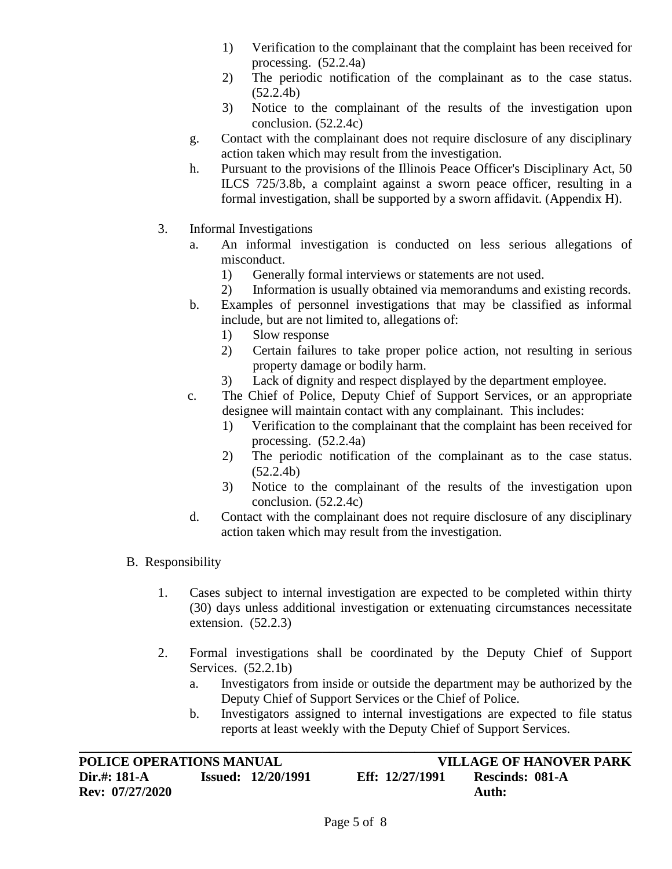- 1) Verification to the complainant that the complaint has been received for processing. (52.2.4a)
- 2) The periodic notification of the complainant as to the case status.  $(52.2.4b)$
- 3) Notice to the complainant of the results of the investigation upon conclusion. (52.2.4c)
- g. Contact with the complainant does not require disclosure of any disciplinary action taken which may result from the investigation.
- h. Pursuant to the provisions of the Illinois Peace Officer's Disciplinary Act, 50 ILCS 725/3.8b, a complaint against a sworn peace officer, resulting in a formal investigation, shall be supported by a sworn affidavit. (Appendix H).
- 3. Informal Investigations
	- a. An informal investigation is conducted on less serious allegations of misconduct.
		- 1) Generally formal interviews or statements are not used.
		- 2) Information is usually obtained via memorandums and existing records.
	- b. Examples of personnel investigations that may be classified as informal include, but are not limited to, allegations of:
		- 1) Slow response
		- 2) Certain failures to take proper police action, not resulting in serious property damage or bodily harm.
		- 3) Lack of dignity and respect displayed by the department employee.
	- c. The Chief of Police, Deputy Chief of Support Services, or an appropriate designee will maintain contact with any complainant. This includes:
		- 1) Verification to the complainant that the complaint has been received for processing. (52.2.4a)
		- 2) The periodic notification of the complainant as to the case status. (52.2.4b)
		- 3) Notice to the complainant of the results of the investigation upon conclusion. (52.2.4c)
	- d. Contact with the complainant does not require disclosure of any disciplinary action taken which may result from the investigation.
- B. Responsibility
	- 1. Cases subject to internal investigation are expected to be completed within thirty (30) days unless additional investigation or extenuating circumstances necessitate extension. (52.2.3)
	- 2. Formal investigations shall be coordinated by the Deputy Chief of Support Services. (52.2.1b)
		- a. Investigators from inside or outside the department may be authorized by the Deputy Chief of Support Services or the Chief of Police.
		- b. Investigators assigned to internal investigations are expected to file status reports at least weekly with the Deputy Chief of Support Services.

| <b>POLICE OPERATIONS MANUAL</b> |                           |                 | <b>VILLAGE OF HANOVER PARK</b> |
|---------------------------------|---------------------------|-----------------|--------------------------------|
| Dir.#: 181-A<br>Rev: 07/27/2020 | <b>Issued: 12/20/1991</b> | Eff: 12/27/1991 | Rescinds: 081-A<br>Auth:       |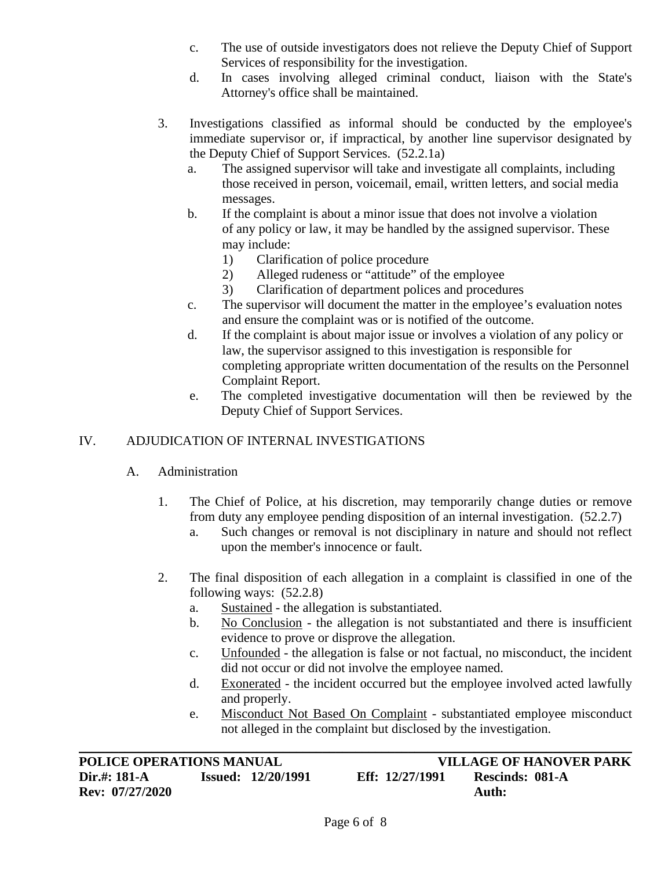- c. The use of outside investigators does not relieve the Deputy Chief of Support Services of responsibility for the investigation.
- d. In cases involving alleged criminal conduct, liaison with the State's Attorney's office shall be maintained.
- 3. Investigations classified as informal should be conducted by the employee's immediate supervisor or, if impractical, by another line supervisor designated by the Deputy Chief of Support Services. (52.2.1a)
	- a. The assigned supervisor will take and investigate all complaints, including those received in person, voicemail, email, written letters, and social media messages.
	- b. If the complaint is about a minor issue that does not involve a violation of any policy or law, it may be handled by the assigned supervisor. These may include:
		- 1) Clarification of police procedure
		- 2) Alleged rudeness or "attitude" of the employee
		- 3) Clarification of department polices and procedures
	- c. The supervisor will document the matter in the employee's evaluation notes and ensure the complaint was or is notified of the outcome.
	- d. If the complaint is about major issue or involves a violation of any policy or law, the supervisor assigned to this investigation is responsible for completing appropriate written documentation of the results on the Personnel Complaint Report.
	- e. The completed investigative documentation will then be reviewed by the Deputy Chief of Support Services.

## IV. ADJUDICATION OF INTERNAL INVESTIGATIONS

## A. Administration

- 1. The Chief of Police, at his discretion, may temporarily change duties or remove from duty any employee pending disposition of an internal investigation. (52.2.7)
	- a. Such changes or removal is not disciplinary in nature and should not reflect upon the member's innocence or fault.
- 2. The final disposition of each allegation in a complaint is classified in one of the following ways: (52.2.8)
	- a. Sustained the allegation is substantiated.
	- b. No Conclusion the allegation is not substantiated and there is insufficient evidence to prove or disprove the allegation.
	- c. Unfounded the allegation is false or not factual, no misconduct, the incident did not occur or did not involve the employee named.
	- d. Exonerated the incident occurred but the employee involved acted lawfully and properly.
	- e. Misconduct Not Based On Complaint substantiated employee misconduct not alleged in the complaint but disclosed by the investigation.

**POLICE OPERATIONS MANUAL VILLAGE OF HANOVER PARK**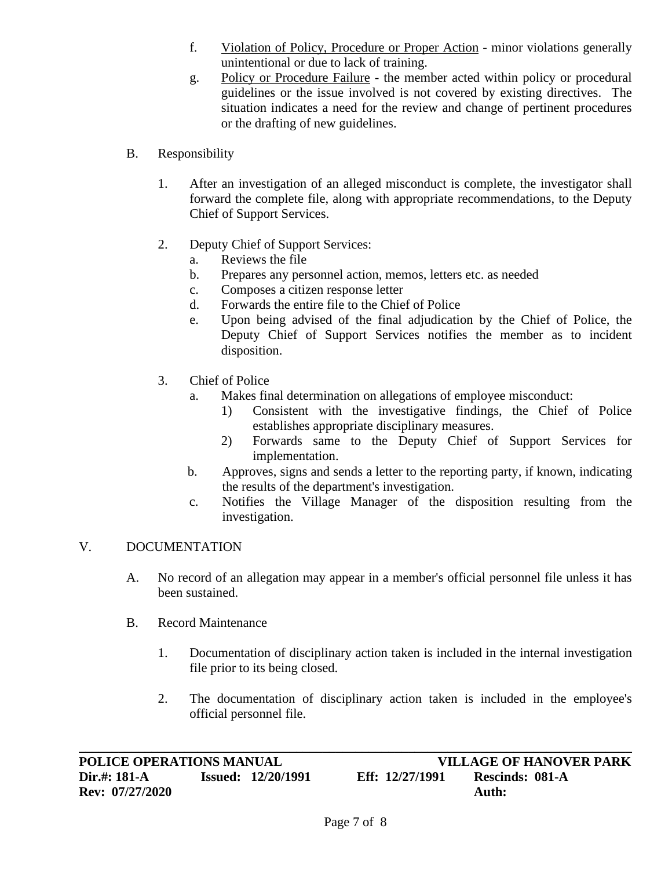- f. Violation of Policy, Procedure or Proper Action minor violations generally unintentional or due to lack of training.
- g. Policy or Procedure Failure the member acted within policy or procedural guidelines or the issue involved is not covered by existing directives. The situation indicates a need for the review and change of pertinent procedures or the drafting of new guidelines.
- B. Responsibility
	- 1. After an investigation of an alleged misconduct is complete, the investigator shall forward the complete file, along with appropriate recommendations, to the Deputy Chief of Support Services.
	- 2. Deputy Chief of Support Services:
		- a. Reviews the file
		- b. Prepares any personnel action, memos, letters etc. as needed
		- c. Composes a citizen response letter
		- d. Forwards the entire file to the Chief of Police
		- e. Upon being advised of the final adjudication by the Chief of Police, the Deputy Chief of Support Services notifies the member as to incident disposition.
	- 3. Chief of Police
		- a. Makes final determination on allegations of employee misconduct:
			- 1) Consistent with the investigative findings, the Chief of Police establishes appropriate disciplinary measures.
			- 2) Forwards same to the Deputy Chief of Support Services for implementation.
		- b. Approves, signs and sends a letter to the reporting party, if known, indicating the results of the department's investigation.
		- c. Notifies the Village Manager of the disposition resulting from the investigation.

## V. DOCUMENTATION

- A. No record of an allegation may appear in a member's official personnel file unless it has been sustained.
- B. Record Maintenance
	- 1. Documentation of disciplinary action taken is included in the internal investigation file prior to its being closed.
	- 2. The documentation of disciplinary action taken is included in the employee's official personnel file.

 $\_$  , and the contribution of the contribution of the contribution of the contribution of  $\mathcal{L}_\text{max}$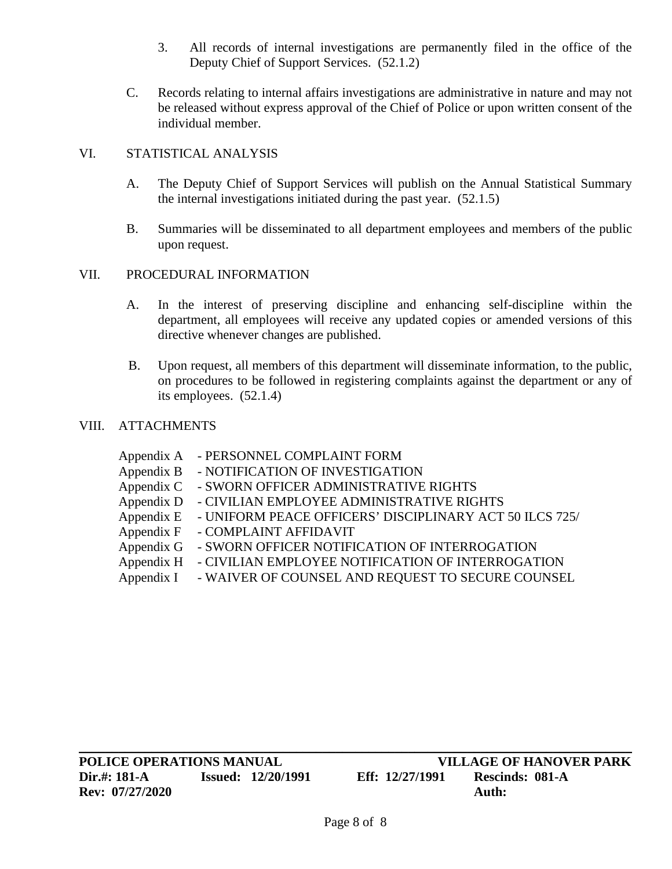- 3. All records of internal investigations are permanently filed in the office of the Deputy Chief of Support Services. (52.1.2)
- C. Records relating to internal affairs investigations are administrative in nature and may not be released without express approval of the Chief of Police or upon written consent of the individual member.

## VI. STATISTICAL ANALYSIS

- A. The Deputy Chief of Support Services will publish on the Annual Statistical Summary the internal investigations initiated during the past year. (52.1.5)
- B. Summaries will be disseminated to all department employees and members of the public upon request.

## VII. PROCEDURAL INFORMATION

- A. In the interest of preserving discipline and enhancing self-discipline within the department, all employees will receive any updated copies or amended versions of this directive whenever changes are published.
- B. Upon request, all members of this department will disseminate information, to the public, on procedures to be followed in registering complaints against the department or any of its employees. (52.1.4)

## VIII. ATTACHMENTS

| - PERSONNEL COMPLAINT FORM                              |
|---------------------------------------------------------|
| - NOTIFICATION OF INVESTIGATION                         |
| - SWORN OFFICER ADMINISTRATIVE RIGHTS                   |
| - CIVILIAN EMPLOYEE ADMINISTRATIVE RIGHTS               |
| - UNIFORM PEACE OFFICERS' DISCIPLINARY ACT 50 ILCS 725/ |
| - COMPLAINT AFFIDAVIT                                   |
| - SWORN OFFICER NOTIFICATION OF INTERROGATION           |
| - CIVILIAN EMPLOYEE NOTIFICATION OF INTERROGATION       |
| - WAIVER OF COUNSEL AND REQUEST TO SECURE COUNSEL       |
|                                                         |

 $\_$  , and the contribution of the contribution of the contribution of the contribution of  $\mathcal{L}_\text{max}$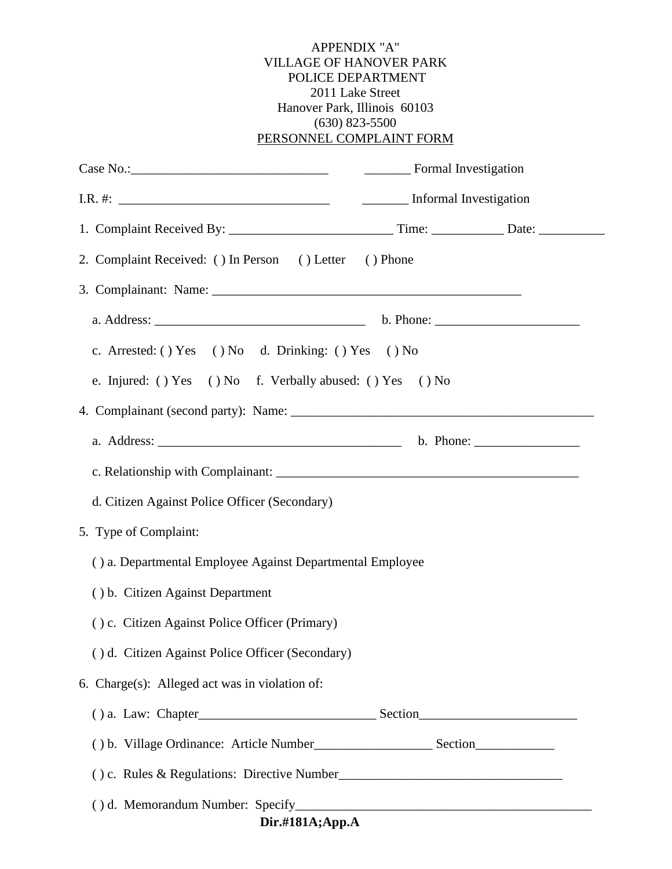#### APPENDIX "A" VILLAGE OF HANOVER PARK POLICE DEPARTMENT 2011 Lake Street Hanover Park, Illinois 60103 (630) 823-5500 PERSONNEL COMPLAINT FORM

| Case No.: Formal Investigation                            |  |  |  |  |
|-----------------------------------------------------------|--|--|--|--|
|                                                           |  |  |  |  |
|                                                           |  |  |  |  |
| 2. Complaint Received: () In Person () Letter () Phone    |  |  |  |  |
|                                                           |  |  |  |  |
|                                                           |  |  |  |  |
| c. Arrested: () Yes () No d. Drinking: () Yes () No       |  |  |  |  |
| e. Injured: () Yes () No f. Verbally abused: () Yes () No |  |  |  |  |
|                                                           |  |  |  |  |
|                                                           |  |  |  |  |
|                                                           |  |  |  |  |
| d. Citizen Against Police Officer (Secondary)             |  |  |  |  |
| 5. Type of Complaint:                                     |  |  |  |  |
| () a. Departmental Employee Against Departmental Employee |  |  |  |  |
| () b. Citizen Against Department                          |  |  |  |  |
| () c. Citizen Against Police Officer (Primary)            |  |  |  |  |
| () d. Citizen Against Police Officer (Secondary)          |  |  |  |  |
| 6. Charge(s): Alleged act was in violation of:            |  |  |  |  |
|                                                           |  |  |  |  |
|                                                           |  |  |  |  |
|                                                           |  |  |  |  |
|                                                           |  |  |  |  |
| Dir.#181A;App.A                                           |  |  |  |  |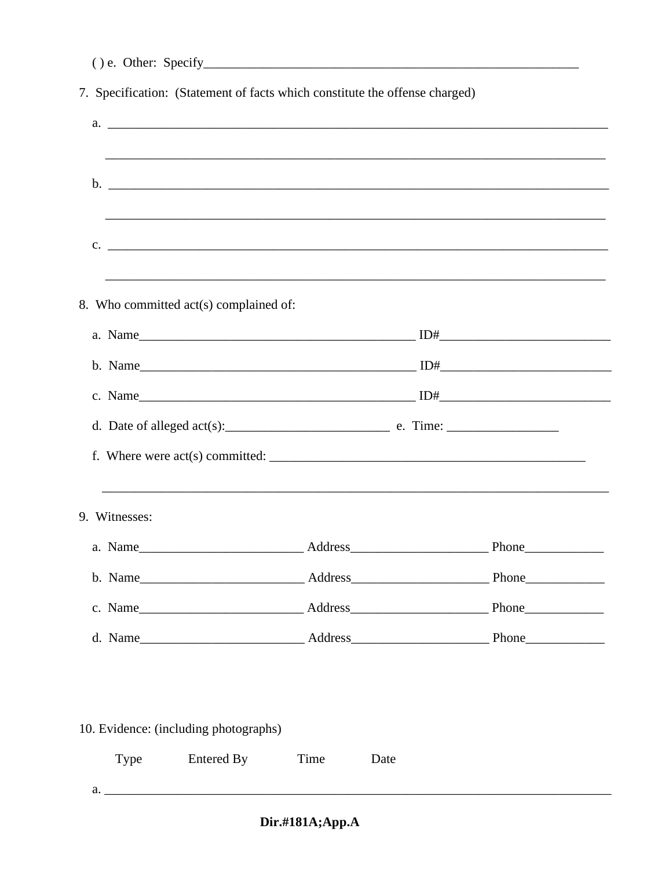|               | 7. Specification: (Statement of facts which constitute the offense charged) |      |      |                                                                                                                                                                                                                                |  |
|---------------|-----------------------------------------------------------------------------|------|------|--------------------------------------------------------------------------------------------------------------------------------------------------------------------------------------------------------------------------------|--|
|               |                                                                             |      |      |                                                                                                                                                                                                                                |  |
|               |                                                                             |      |      | ,我们也不能在这里的时候,我们也不能在这里的时候,我们也不能会在这里的时候,我们也不能会在这里的时候,我们也不能会在这里的时候,我们也不能会在这里的时候,我们也不                                                                                                                                              |  |
|               |                                                                             |      |      |                                                                                                                                                                                                                                |  |
|               |                                                                             |      |      |                                                                                                                                                                                                                                |  |
|               |                                                                             |      |      | $\mathbf{c}$ . $\blacksquare$                                                                                                                                                                                                  |  |
|               | 8. Who committed act(s) complained of:                                      |      |      |                                                                                                                                                                                                                                |  |
|               |                                                                             |      |      |                                                                                                                                                                                                                                |  |
|               |                                                                             |      |      |                                                                                                                                                                                                                                |  |
|               |                                                                             |      |      |                                                                                                                                                                                                                                |  |
|               |                                                                             |      |      | d. Date of alleged $act(s)$ : $\qquad \qquad$ e. Time:                                                                                                                                                                         |  |
|               |                                                                             |      |      |                                                                                                                                                                                                                                |  |
| 9. Witnesses: |                                                                             |      |      |                                                                                                                                                                                                                                |  |
|               |                                                                             |      |      |                                                                                                                                                                                                                                |  |
|               |                                                                             |      |      |                                                                                                                                                                                                                                |  |
|               |                                                                             |      |      | c. Name Phone Phone Phone Phone Phone Phone Phone Phone Phone Phone Phone Phone Phone Phone Phone Phone Phone Phone Phone Phone Phone Phone Phone Phone Phone Phone Phone Phone Phone Phone Phone Phone Phone Phone Phone Phon |  |
|               |                                                                             |      |      |                                                                                                                                                                                                                                |  |
|               |                                                                             |      |      |                                                                                                                                                                                                                                |  |
|               | 10. Evidence: (including photographs)                                       |      |      |                                                                                                                                                                                                                                |  |
| Type          | <b>Entered By</b>                                                           | Time | Date |                                                                                                                                                                                                                                |  |

 $a.$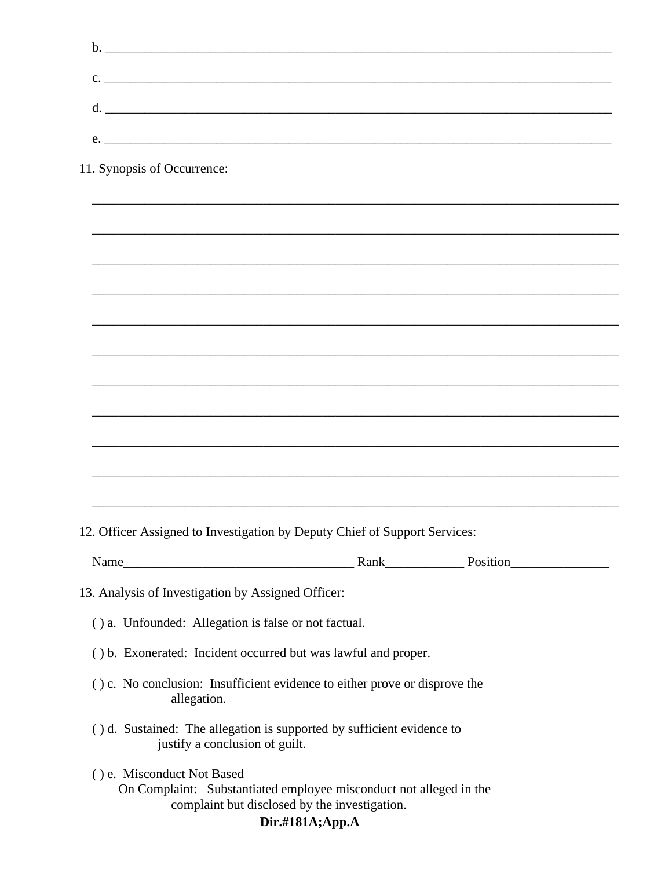| $c.$ $\overline{\phantom{a}}$                                                                            |  |  |
|----------------------------------------------------------------------------------------------------------|--|--|
| d.                                                                                                       |  |  |
| e.                                                                                                       |  |  |
| 11. Synopsis of Occurrence:                                                                              |  |  |
|                                                                                                          |  |  |
|                                                                                                          |  |  |
|                                                                                                          |  |  |
|                                                                                                          |  |  |
|                                                                                                          |  |  |
|                                                                                                          |  |  |
|                                                                                                          |  |  |
|                                                                                                          |  |  |
|                                                                                                          |  |  |
| 12. Officer Assigned to Investigation by Deputy Chief of Support Services:                               |  |  |
|                                                                                                          |  |  |
| 13. Analysis of Investigation by Assigned Officer:                                                       |  |  |
| () a. Unfounded: Allegation is false or not factual.                                                     |  |  |
| () b. Exonerated: Incident occurred but was lawful and proper.                                           |  |  |
| () c. No conclusion: Insufficient evidence to either prove or disprove the<br>allegation.                |  |  |
| () d. Sustained: The allegation is supported by sufficient evidence to<br>justify a conclusion of guilt. |  |  |

() e. Misconduct Not Based

On Complaint: Substantiated employee misconduct not alleged in the complaint but disclosed by the investigation.

## Dir.#181A;App.A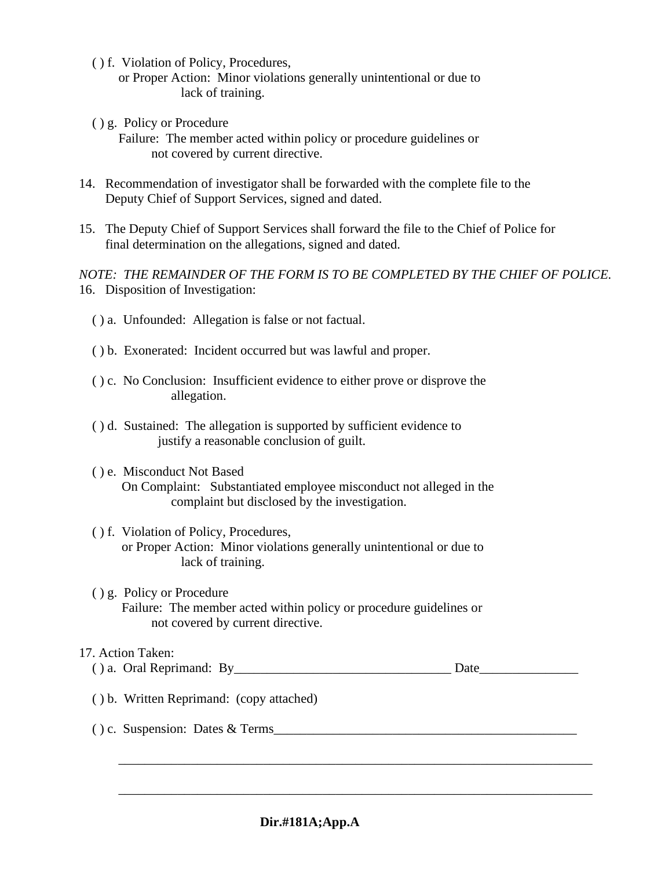- ( ) f. Violation of Policy, Procedures,
	- or Proper Action: Minor violations generally unintentional or due to lack of training.
- ( ) g. Policy or Procedure

 Failure: The member acted within policy or procedure guidelines or not covered by current directive.

- 14. Recommendation of investigator shall be forwarded with the complete file to the Deputy Chief of Support Services, signed and dated.
- 15. The Deputy Chief of Support Services shall forward the file to the Chief of Police for final determination on the allegations, signed and dated.

*NOTE: THE REMAINDER OF THE FORM IS TO BE COMPLETED BY THE CHIEF OF POLICE.* 16. Disposition of Investigation:

- ( ) a. Unfounded: Allegation is false or not factual.
- ( ) b. Exonerated: Incident occurred but was lawful and proper.
- ( ) c. No Conclusion: Insufficient evidence to either prove or disprove the allegation.
- ( ) d. Sustained: The allegation is supported by sufficient evidence to justify a reasonable conclusion of guilt.
- ( ) e. Misconduct Not Based
	- On Complaint: Substantiated employee misconduct not alleged in the complaint but disclosed by the investigation.

#### ( ) f. Violation of Policy, Procedures, or Proper Action: Minor violations generally unintentional or due to lack of training.

 ( ) g. Policy or Procedure Failure: The member acted within policy or procedure guidelines or not covered by current directive.

#### 17. Action Taken:

| $\cdots$ | . )ral Reprimand:<br>$\mathbf{a}$ . | . By | $\sim$<br>J'alt |
|----------|-------------------------------------|------|-----------------|
|----------|-------------------------------------|------|-----------------|

\_\_\_\_\_\_\_\_\_\_\_\_\_\_\_\_\_\_\_\_\_\_\_\_\_\_\_\_\_\_\_\_\_\_\_\_\_\_\_\_\_\_\_\_\_\_\_\_\_\_\_\_\_\_\_\_\_\_\_\_\_\_\_\_\_\_\_\_\_\_\_\_

\_\_\_\_\_\_\_\_\_\_\_\_\_\_\_\_\_\_\_\_\_\_\_\_\_\_\_\_\_\_\_\_\_\_\_\_\_\_\_\_\_\_\_\_\_\_\_\_\_\_\_\_\_\_\_\_\_\_\_\_\_\_\_\_\_\_\_\_\_\_\_\_

- ( ) b. Written Reprimand: (copy attached)
- ( ) c. Suspension: Dates & Terms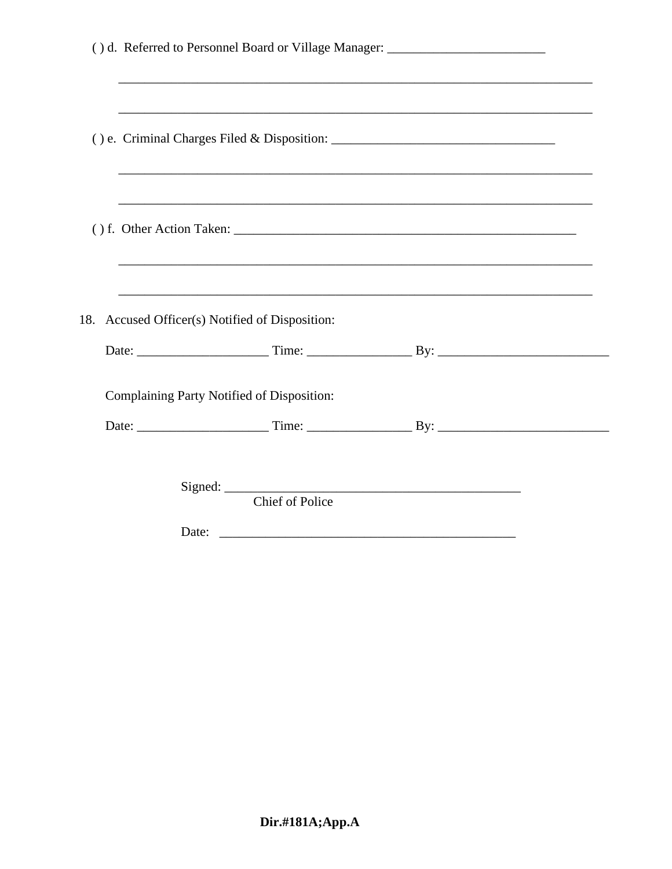| () d. Referred to Personnel Board or Village Manager: __________________________ |  |
|----------------------------------------------------------------------------------|--|
|                                                                                  |  |
|                                                                                  |  |
| 18. Accused Officer(s) Notified of Disposition:                                  |  |
| Complaining Party Notified of Disposition:                                       |  |
| <b>Chief of Police</b>                                                           |  |
|                                                                                  |  |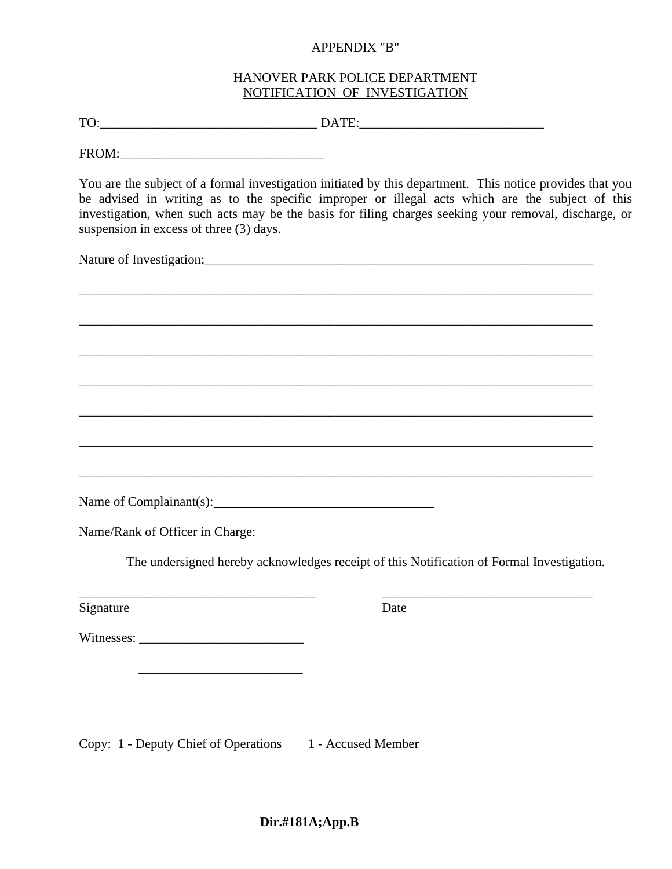#### APPENDIX "B"

#### HANOVER PARK POLICE DEPARTMENT NOTIFICATION OF INVESTIGATION

TO: TO:

FROM:\_\_\_\_\_\_\_\_\_\_\_\_\_\_\_\_\_\_\_\_\_\_\_\_\_\_\_\_\_\_\_

You are the subject of a formal investigation initiated by this department. This notice provides that you be advised in writing as to the specific improper or illegal acts which are the subject of this investigation, when such acts may be the basis for filing charges seeking your removal, discharge, or suspension in excess of three (3) days.

Nature of Investigation:

\_\_\_\_\_\_\_\_\_\_\_\_\_\_\_\_\_\_\_\_\_\_\_\_\_\_\_\_\_\_\_\_\_\_\_\_\_\_\_\_\_\_\_\_\_\_\_\_\_\_\_\_\_\_\_\_\_\_\_\_\_\_\_\_\_\_\_\_\_\_\_\_\_\_\_\_\_\_ \_\_\_\_\_\_\_\_\_\_\_\_\_\_\_\_\_\_\_\_\_\_\_\_\_\_\_\_\_\_\_\_\_\_\_\_\_\_\_\_\_\_\_\_\_\_\_\_\_\_\_\_\_\_\_\_\_\_\_\_\_\_\_\_\_\_\_\_\_\_\_\_\_\_\_\_\_\_ \_\_\_\_\_\_\_\_\_\_\_\_\_\_\_\_\_\_\_\_\_\_\_\_\_\_\_\_\_\_\_\_\_\_\_\_\_\_\_\_\_\_\_\_\_\_\_\_\_\_\_\_\_\_\_\_\_\_\_\_\_\_\_\_\_\_\_\_\_\_\_\_\_\_\_\_\_\_ \_\_\_\_\_\_\_\_\_\_\_\_\_\_\_\_\_\_\_\_\_\_\_\_\_\_\_\_\_\_\_\_\_\_\_\_\_\_\_\_\_\_\_\_\_\_\_\_\_\_\_\_\_\_\_\_\_\_\_\_\_\_\_\_\_\_\_\_\_\_\_\_\_\_\_\_\_\_ \_\_\_\_\_\_\_\_\_\_\_\_\_\_\_\_\_\_\_\_\_\_\_\_\_\_\_\_\_\_\_\_\_\_\_\_\_\_\_\_\_\_\_\_\_\_\_\_\_\_\_\_\_\_\_\_\_\_\_\_\_\_\_\_\_\_\_\_\_\_\_\_\_\_\_\_\_\_ \_\_\_\_\_\_\_\_\_\_\_\_\_\_\_\_\_\_\_\_\_\_\_\_\_\_\_\_\_\_\_\_\_\_\_\_\_\_\_\_\_\_\_\_\_\_\_\_\_\_\_\_\_\_\_\_\_\_\_\_\_\_\_\_\_\_\_\_\_\_\_\_\_\_\_\_\_\_ \_\_\_\_\_\_\_\_\_\_\_\_\_\_\_\_\_\_\_\_\_\_\_\_\_\_\_\_\_\_\_\_\_\_\_\_\_\_\_\_\_\_\_\_\_\_\_\_\_\_\_\_\_\_\_\_\_\_\_\_\_\_\_\_\_\_\_\_\_\_\_\_\_\_\_\_\_\_ Name of Complainant(s): Name/Rank of Officer in Charge: 2008. [2016] The undersigned hereby acknowledges receipt of this Notification of Formal Investigation.

\_\_\_\_\_\_\_\_\_\_\_\_\_\_\_\_\_\_\_\_\_\_\_\_\_\_\_\_\_\_\_\_\_\_\_\_ \_\_\_\_\_\_\_\_\_\_\_\_\_\_\_\_\_\_\_\_\_\_\_\_\_\_\_\_\_\_\_\_

Signature Date

Witnesses:

 $\frac{1}{\sqrt{2}}$  ,  $\frac{1}{\sqrt{2}}$  ,  $\frac{1}{\sqrt{2}}$  ,  $\frac{1}{\sqrt{2}}$  ,  $\frac{1}{\sqrt{2}}$  ,  $\frac{1}{\sqrt{2}}$  ,  $\frac{1}{\sqrt{2}}$  ,  $\frac{1}{\sqrt{2}}$  ,  $\frac{1}{\sqrt{2}}$  ,  $\frac{1}{\sqrt{2}}$  ,  $\frac{1}{\sqrt{2}}$  ,  $\frac{1}{\sqrt{2}}$  ,  $\frac{1}{\sqrt{2}}$  ,  $\frac{1}{\sqrt{2}}$  ,  $\frac{1}{\sqrt{2}}$ 

Copy: 1 - Deputy Chief of Operations 1 - Accused Member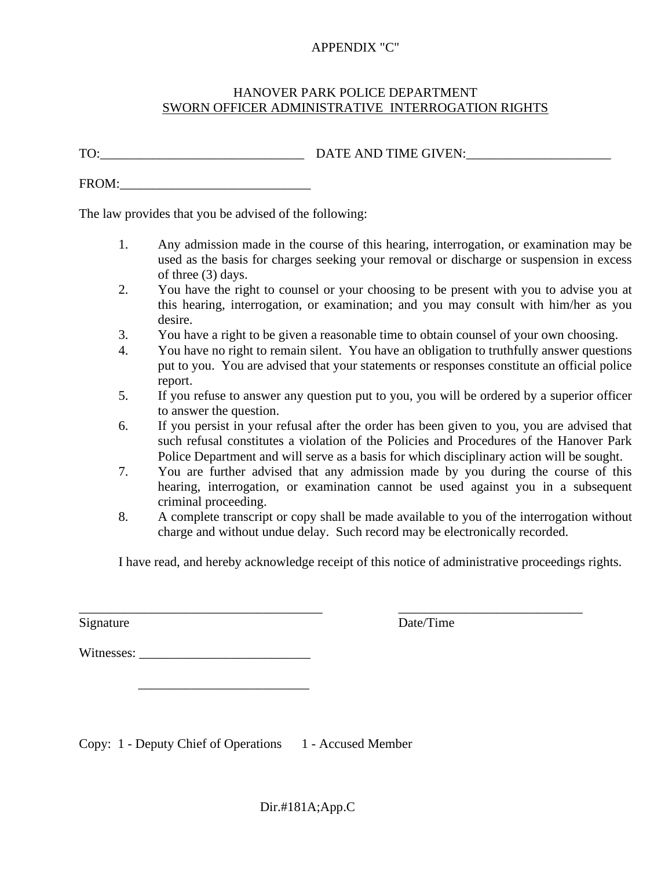#### APPENDIX "C"

#### HANOVER PARK POLICE DEPARTMENT SWORN OFFICER ADMINISTRATIVE INTERROGATION RIGHTS

TO:\_\_\_\_\_\_\_\_\_\_\_\_\_\_\_\_\_\_\_\_\_\_\_\_\_\_\_\_\_\_\_ DATE AND TIME GIVEN:\_\_\_\_\_\_\_\_\_\_\_\_\_\_\_\_\_\_\_\_\_\_

FROM:

The law provides that you be advised of the following:

- 1. Any admission made in the course of this hearing, interrogation, or examination may be used as the basis for charges seeking your removal or discharge or suspension in excess of three (3) days.
- 2. You have the right to counsel or your choosing to be present with you to advise you at this hearing, interrogation, or examination; and you may consult with him/her as you desire.
- 3. You have a right to be given a reasonable time to obtain counsel of your own choosing.
- 4. You have no right to remain silent. You have an obligation to truthfully answer questions put to you. You are advised that your statements or responses constitute an official police report.
- 5. If you refuse to answer any question put to you, you will be ordered by a superior officer to answer the question.
- 6. If you persist in your refusal after the order has been given to you, you are advised that such refusal constitutes a violation of the Policies and Procedures of the Hanover Park Police Department and will serve as a basis for which disciplinary action will be sought.
- 7. You are further advised that any admission made by you during the course of this hearing, interrogation, or examination cannot be used against you in a subsequent criminal proceeding.
- 8. A complete transcript or copy shall be made available to you of the interrogation without charge and without undue delay. Such record may be electronically recorded.

I have read, and hereby acknowledge receipt of this notice of administrative proceedings rights.

\_\_\_\_\_\_\_\_\_\_\_\_\_\_\_\_\_\_\_\_\_\_\_\_\_\_\_\_\_\_\_\_\_\_\_\_\_ \_\_\_\_\_\_\_\_\_\_\_\_\_\_\_\_\_\_\_\_\_\_\_\_\_\_\_\_ Signature Date/Time

Witnesses:

 $\overline{\phantom{a}}$  , which is a set of the set of the set of the set of the set of the set of the set of the set of the set of the set of the set of the set of the set of the set of the set of the set of the set of the set of th

Copy: 1 - Deputy Chief of Operations 1 - Accused Member

Dir.#181A;App.C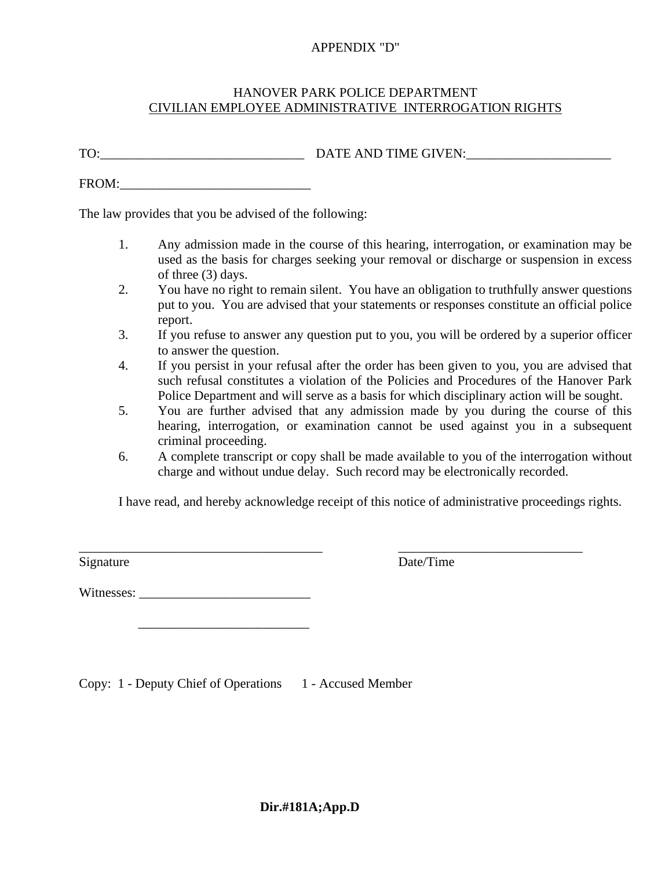#### APPENDIX "D"

#### HANOVER PARK POLICE DEPARTMENT CIVILIAN EMPLOYEE ADMINISTRATIVE INTERROGATION RIGHTS

TO:\_\_\_\_\_\_\_\_\_\_\_\_\_\_\_\_\_\_\_\_\_\_\_\_\_\_\_\_\_\_\_ DATE AND TIME GIVEN:\_\_\_\_\_\_\_\_\_\_\_\_\_\_\_\_\_\_\_\_\_\_

FROM:

The law provides that you be advised of the following:

- 1. Any admission made in the course of this hearing, interrogation, or examination may be used as the basis for charges seeking your removal or discharge or suspension in excess of three (3) days.
- 2. You have no right to remain silent. You have an obligation to truthfully answer questions put to you. You are advised that your statements or responses constitute an official police report.
- 3. If you refuse to answer any question put to you, you will be ordered by a superior officer to answer the question.
- 4. If you persist in your refusal after the order has been given to you, you are advised that such refusal constitutes a violation of the Policies and Procedures of the Hanover Park Police Department and will serve as a basis for which disciplinary action will be sought.
- 5. You are further advised that any admission made by you during the course of this hearing, interrogation, or examination cannot be used against you in a subsequent criminal proceeding.
- 6. A complete transcript or copy shall be made available to you of the interrogation without charge and without undue delay. Such record may be electronically recorded.

I have read, and hereby acknowledge receipt of this notice of administrative proceedings rights.

Signature

 $\sqrt{\text{Date/Time}}$ 

Witnesses:

 $\overline{\phantom{a}}$  , which is a set of the set of the set of the set of the set of the set of the set of the set of the set of the set of the set of the set of the set of the set of the set of the set of the set of the set of th

Copy: 1 - Deputy Chief of Operations 1 - Accused Member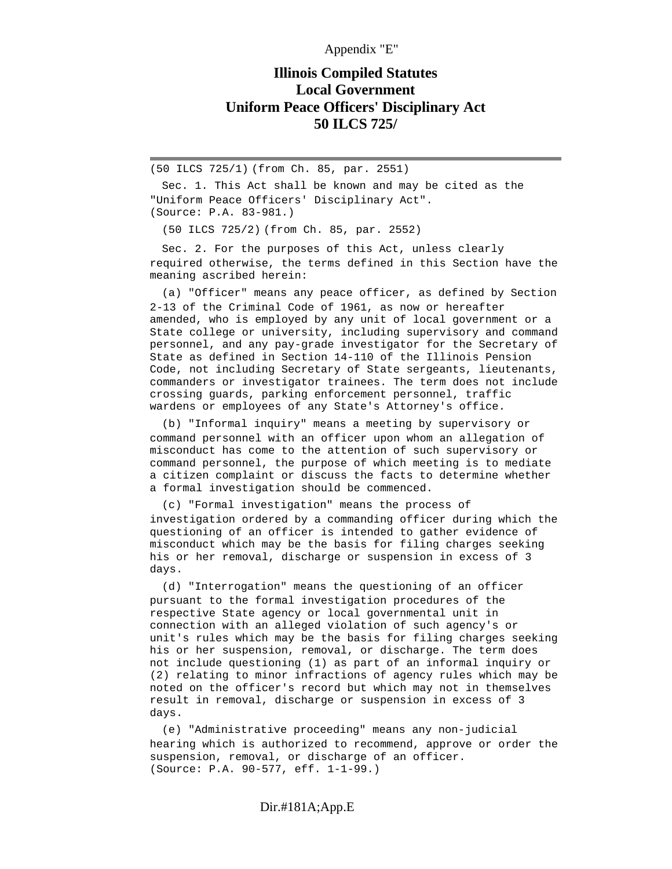Appendix "E"

## **Illinois Compiled Statutes Local Government Uniform Peace Officers' Disciplinary Act 50 ILCS 725/**

(50 ILCS 725/1) (from Ch. 85, par. 2551)

 Sec. 1. This Act shall be known and may be cited as the "Uniform Peace Officers' Disciplinary Act". (Source: P.A. 83-981.)

(50 ILCS 725/2) (from Ch. 85, par. 2552)

 Sec. 2. For the purposes of this Act, unless clearly required otherwise, the terms defined in this Section have the meaning ascribed herein:

 (a) "Officer" means any peace officer, as defined by Section 2-13 of the Criminal Code of 1961, as now or hereafter amended, who is employed by any unit of local government or a State college or university, including supervisory and command personnel, and any pay-grade investigator for the Secretary of State as defined in Section 14-110 of the Illinois Pension Code, not including Secretary of State sergeants, lieutenants, commanders or investigator trainees. The term does not include crossing guards, parking enforcement personnel, traffic wardens or employees of any State's Attorney's office.

 (b) "Informal inquiry" means a meeting by supervisory or command personnel with an officer upon whom an allegation of misconduct has come to the attention of such supervisory or command personnel, the purpose of which meeting is to mediate a citizen complaint or discuss the facts to determine whether a formal investigation should be commenced.

 (c) "Formal investigation" means the process of investigation ordered by a commanding officer during which the questioning of an officer is intended to gather evidence of misconduct which may be the basis for filing charges seeking his or her removal, discharge or suspension in excess of 3 days.

 (d) "Interrogation" means the questioning of an officer pursuant to the formal investigation procedures of the respective State agency or local governmental unit in connection with an alleged violation of such agency's or unit's rules which may be the basis for filing charges seeking his or her suspension, removal, or discharge. The term does not include questioning (1) as part of an informal inquiry or (2) relating to minor infractions of agency rules which may be noted on the officer's record but which may not in themselves result in removal, discharge or suspension in excess of 3 days.

 (e) "Administrative proceeding" means any non-judicial hearing which is authorized to recommend, approve or order the suspension, removal, or discharge of an officer. (Source: P.A. 90-577, eff. 1-1-99.)

#### Dir.#181A;App.E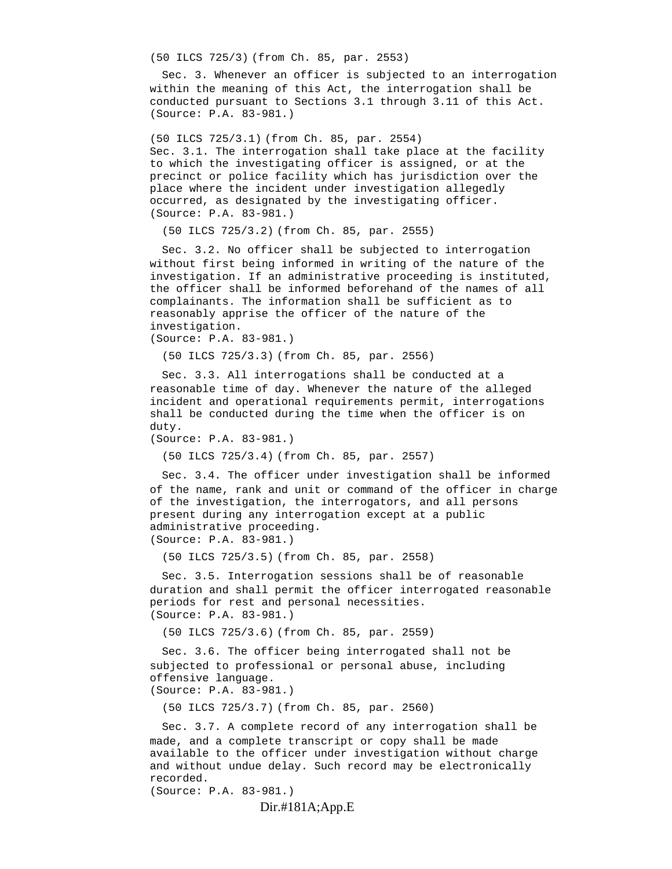(50 ILCS 725/3) (from Ch. 85, par. 2553)

 Sec. 3. Whenever an officer is subjected to an interrogation within the meaning of this Act, the interrogation shall be conducted pursuant to Sections 3.1 through 3.11 of this Act. (Source: P.A. 83-981.)

(50 ILCS 725/3.1) (from Ch. 85, par. 2554) Sec. 3.1. The interrogation shall take place at the facility to which the investigating officer is assigned, or at the precinct or police facility which has jurisdiction over the place where the incident under investigation allegedly occurred, as designated by the investigating officer. (Source: P.A. 83-981.)

(50 ILCS 725/3.2) (from Ch. 85, par. 2555)

 Sec. 3.2. No officer shall be subjected to interrogation without first being informed in writing of the nature of the investigation. If an administrative proceeding is instituted, the officer shall be informed beforehand of the names of all complainants. The information shall be sufficient as to reasonably apprise the officer of the nature of the investigation.

(Source: P.A. 83-981.)

(50 ILCS 725/3.3) (from Ch. 85, par. 2556)

 Sec. 3.3. All interrogations shall be conducted at a reasonable time of day. Whenever the nature of the alleged incident and operational requirements permit, interrogations shall be conducted during the time when the officer is on duty.

(Source: P.A. 83-981.)

(50 ILCS 725/3.4) (from Ch. 85, par. 2557)

 Sec. 3.4. The officer under investigation shall be informed of the name, rank and unit or command of the officer in charge of the investigation, the interrogators, and all persons present during any interrogation except at a public administrative proceeding. (Source: P.A. 83-981.)

(50 ILCS 725/3.5) (from Ch. 85, par. 2558)

 Sec. 3.5. Interrogation sessions shall be of reasonable duration and shall permit the officer interrogated reasonable periods for rest and personal necessities. (Source: P.A. 83-981.)

(50 ILCS 725/3.6) (from Ch. 85, par. 2559)

 Sec. 3.6. The officer being interrogated shall not be subjected to professional or personal abuse, including offensive language. (Source: P.A. 83-981.)

(50 ILCS 725/3.7) (from Ch. 85, par. 2560)

 Sec. 3.7. A complete record of any interrogation shall be made, and a complete transcript or copy shall be made available to the officer under investigation without charge and without undue delay. Such record may be electronically recorded.

(Source: P.A. 83-981.)

Dir.#181A;App.E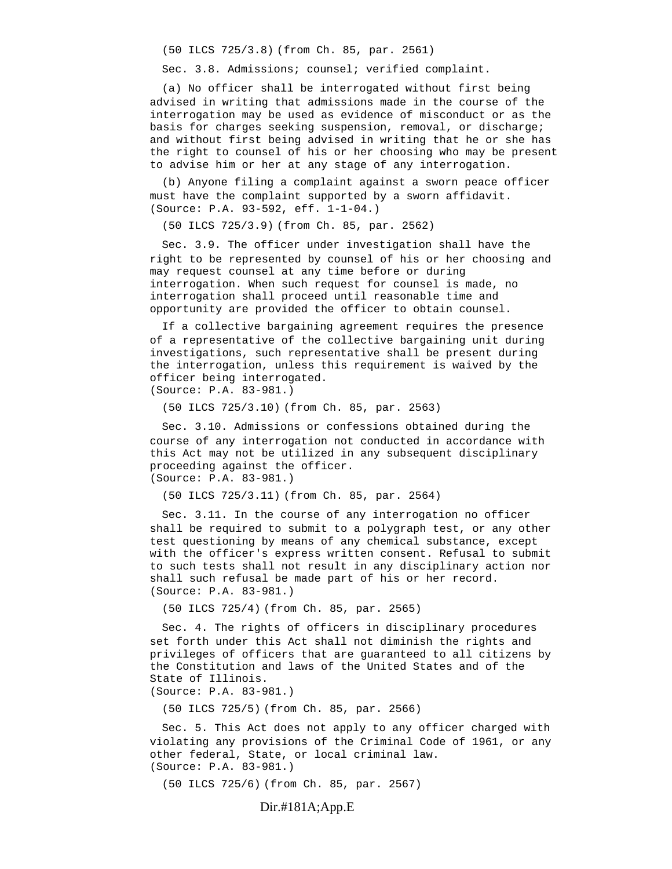(50 ILCS 725/3.8) (from Ch. 85, par. 2561)

Sec. 3.8. Admissions; counsel; verified complaint.

 (a) No officer shall be interrogated without first being advised in writing that admissions made in the course of the interrogation may be used as evidence of misconduct or as the basis for charges seeking suspension, removal, or discharge; and without first being advised in writing that he or she has the right to counsel of his or her choosing who may be present to advise him or her at any stage of any interrogation.

 (b) Anyone filing a complaint against a sworn peace officer must have the complaint supported by a sworn affidavit. (Source: P.A. 93-592, eff. 1-1-04.)

(50 ILCS 725/3.9) (from Ch. 85, par. 2562)

 Sec. 3.9. The officer under investigation shall have the right to be represented by counsel of his or her choosing and may request counsel at any time before or during interrogation. When such request for counsel is made, no interrogation shall proceed until reasonable time and opportunity are provided the officer to obtain counsel.

 If a collective bargaining agreement requires the presence of a representative of the collective bargaining unit during investigations, such representative shall be present during the interrogation, unless this requirement is waived by the officer being interrogated. (Source: P.A. 83-981.)

(50 ILCS 725/3.10) (from Ch. 85, par. 2563)

 Sec. 3.10. Admissions or confessions obtained during the course of any interrogation not conducted in accordance with this Act may not be utilized in any subsequent disciplinary proceeding against the officer. (Source: P.A. 83-981.)

(50 ILCS 725/3.11) (from Ch. 85, par. 2564)

 Sec. 3.11. In the course of any interrogation no officer shall be required to submit to a polygraph test, or any other test questioning by means of any chemical substance, except with the officer's express written consent. Refusal to submit to such tests shall not result in any disciplinary action nor shall such refusal be made part of his or her record. (Source: P.A. 83-981.)

(50 ILCS 725/4) (from Ch. 85, par. 2565)

 Sec. 4. The rights of officers in disciplinary procedures set forth under this Act shall not diminish the rights and privileges of officers that are guaranteed to all citizens by the Constitution and laws of the United States and of the State of Illinois.

(Source: P.A. 83-981.)

(50 ILCS 725/5) (from Ch. 85, par. 2566)

 Sec. 5. This Act does not apply to any officer charged with violating any provisions of the Criminal Code of 1961, or any other federal, State, or local criminal law. (Source: P.A. 83-981.)

(50 ILCS 725/6) (from Ch. 85, par. 2567)

#### Dir.#181A;App.E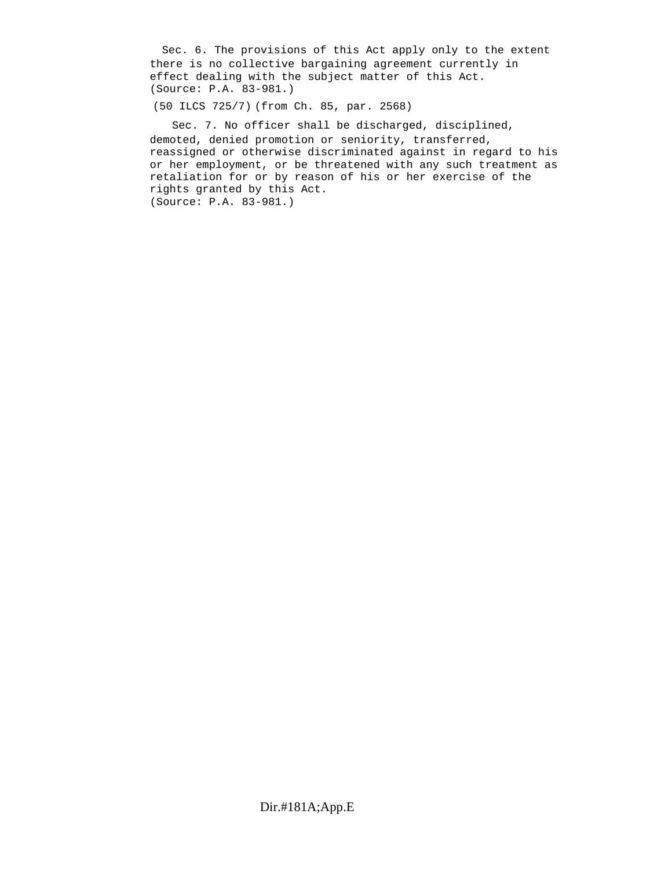Sec. 6. The provisions of this Act apply only to the extent there is no collective bargaining agreement currently in effect dealing with the subject matter of this Act. (Source: P.A. 83-981.)

(50 ILCS 725/7) (from Ch. 85, par. 2568)

 Sec. 7. No officer shall be discharged, disciplined, demoted, denied promotion or seniority, transferred, reassigned or otherwise discriminated against in regard to his or her employment, or be threatened with any such treatment as retaliation for or by reason of his or her exercise of the rights granted by this Act. (Source: P.A. 83-981.)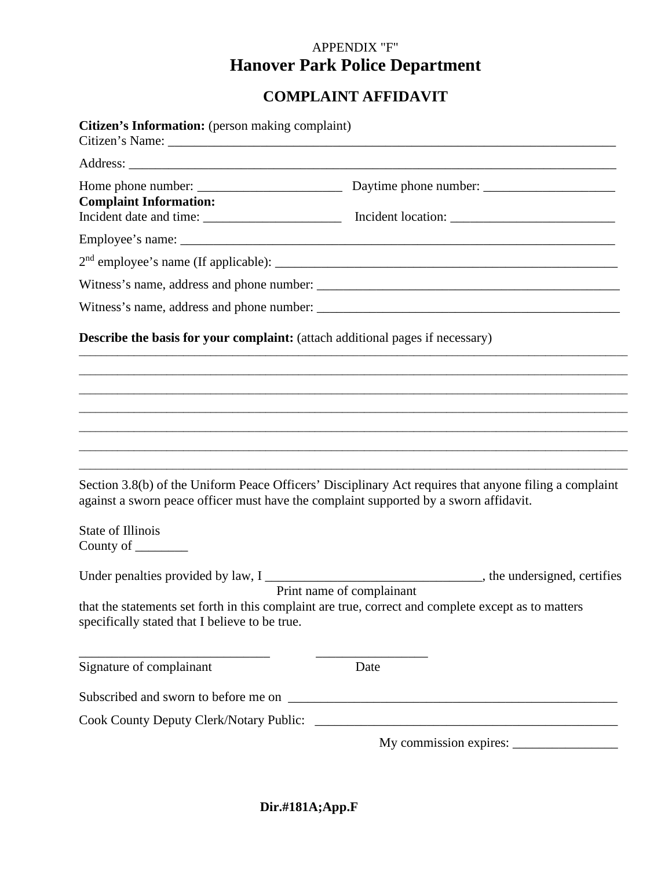# APPENDIX "F" **Hanover Park Police Department**

## **COMPLAINT AFFIDAVIT**

| Citizen's Information: (person making complaint)                                      |                                                                                                                                  |
|---------------------------------------------------------------------------------------|----------------------------------------------------------------------------------------------------------------------------------|
|                                                                                       |                                                                                                                                  |
| <b>Complaint Information:</b>                                                         |                                                                                                                                  |
|                                                                                       |                                                                                                                                  |
|                                                                                       |                                                                                                                                  |
|                                                                                       |                                                                                                                                  |
|                                                                                       |                                                                                                                                  |
| <b>Describe the basis for your complaint:</b> (attach additional pages if necessary)  |                                                                                                                                  |
|                                                                                       |                                                                                                                                  |
|                                                                                       |                                                                                                                                  |
|                                                                                       |                                                                                                                                  |
|                                                                                       |                                                                                                                                  |
|                                                                                       |                                                                                                                                  |
| against a sworn peace officer must have the complaint supported by a sworn affidavit. | Section 3.8(b) of the Uniform Peace Officers' Disciplinary Act requires that anyone filing a complaint                           |
| <b>State of Illinois</b><br>County of $\_\_\_\_\_\_\_\_\_\_\_$                        |                                                                                                                                  |
| specifically stated that I believe to be true.                                        | Print name of complainant<br>that the statements set forth in this complaint are true, correct and complete except as to matters |
|                                                                                       |                                                                                                                                  |
| Signature of complainant                                                              | Date                                                                                                                             |
|                                                                                       |                                                                                                                                  |
|                                                                                       |                                                                                                                                  |
|                                                                                       |                                                                                                                                  |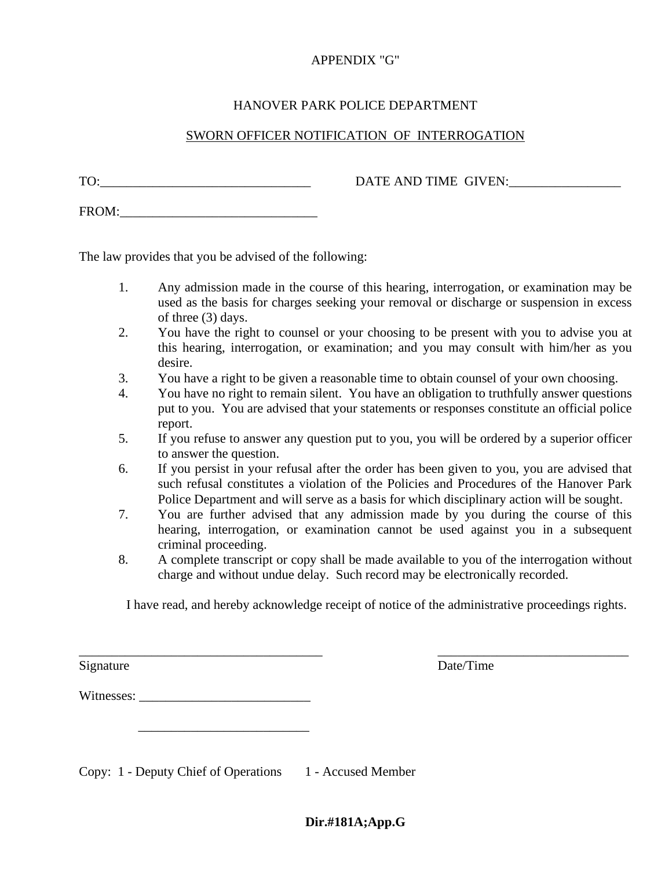## APPENDIX "G"

## HANOVER PARK POLICE DEPARTMENT

## SWORN OFFICER NOTIFICATION OF INTERROGATION

TO: The DATE AND TIME GIVEN:

FROM:\_\_\_\_\_\_\_\_\_\_\_\_\_\_\_\_\_\_\_\_\_\_\_\_\_\_\_\_\_\_

The law provides that you be advised of the following:

- 1. Any admission made in the course of this hearing, interrogation, or examination may be used as the basis for charges seeking your removal or discharge or suspension in excess of three (3) days.
- 2. You have the right to counsel or your choosing to be present with you to advise you at this hearing, interrogation, or examination; and you may consult with him/her as you desire.
- 3. You have a right to be given a reasonable time to obtain counsel of your own choosing.
- 4. You have no right to remain silent. You have an obligation to truthfully answer questions put to you. You are advised that your statements or responses constitute an official police report.
- 5. If you refuse to answer any question put to you, you will be ordered by a superior officer to answer the question.
- 6. If you persist in your refusal after the order has been given to you, you are advised that such refusal constitutes a violation of the Policies and Procedures of the Hanover Park Police Department and will serve as a basis for which disciplinary action will be sought.
- 7. You are further advised that any admission made by you during the course of this hearing, interrogation, or examination cannot be used against you in a subsequent criminal proceeding.
- 8. A complete transcript or copy shall be made available to you of the interrogation without charge and without undue delay. Such record may be electronically recorded.

I have read, and hereby acknowledge receipt of notice of the administrative proceedings rights.

\_\_\_\_\_\_\_\_\_\_\_\_\_\_\_\_\_\_\_\_\_\_\_\_\_\_\_\_\_\_\_\_\_\_\_\_\_ \_\_\_\_\_\_\_\_\_\_\_\_\_\_\_\_\_\_\_\_\_\_\_\_\_\_\_\_\_

Signature Date/Time

Witnesses: \_\_\_\_\_\_\_\_\_\_\_\_\_\_\_\_\_\_\_\_\_\_\_\_\_\_

 $\overline{\phantom{a}}$  , which is a set of the set of the set of the set of the set of the set of the set of the set of the set of the set of the set of the set of the set of the set of the set of the set of the set of the set of th

Copy: 1 - Deputy Chief of Operations 1 - Accused Member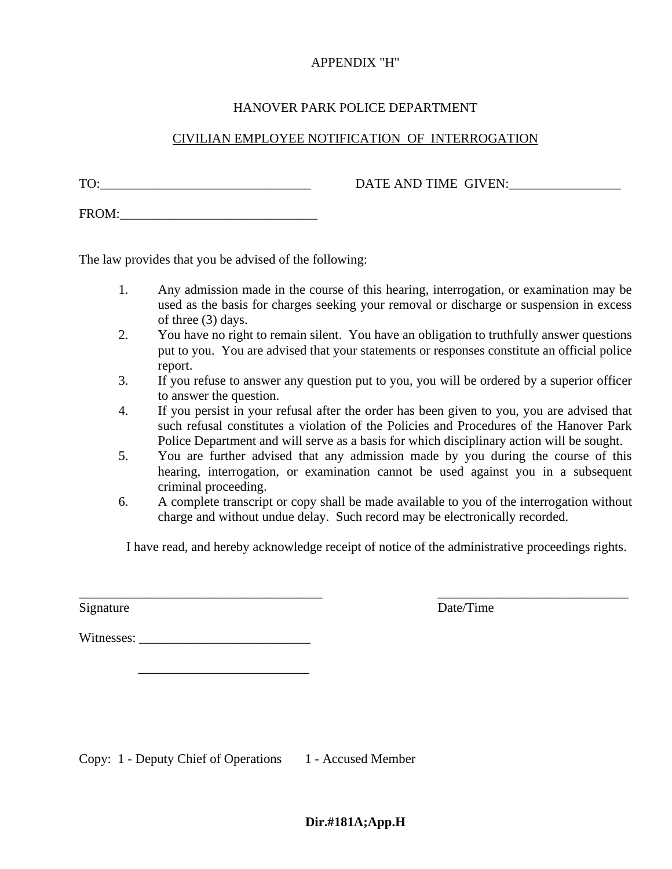#### APPENDIX "H"

#### HANOVER PARK POLICE DEPARTMENT

## CIVILIAN EMPLOYEE NOTIFICATION OF INTERROGATION

TO: TO: THE SIVEN: TO: THE SIVEN:

FROM:\_\_\_\_\_\_\_\_\_\_\_\_\_\_\_\_\_\_\_\_\_\_\_\_\_\_\_\_\_\_

The law provides that you be advised of the following:

- 1. Any admission made in the course of this hearing, interrogation, or examination may be used as the basis for charges seeking your removal or discharge or suspension in excess of three (3) days.
- 2. You have no right to remain silent. You have an obligation to truthfully answer questions put to you. You are advised that your statements or responses constitute an official police report.
- 3. If you refuse to answer any question put to you, you will be ordered by a superior officer to answer the question.
- 4. If you persist in your refusal after the order has been given to you, you are advised that such refusal constitutes a violation of the Policies and Procedures of the Hanover Park Police Department and will serve as a basis for which disciplinary action will be sought.
- 5. You are further advised that any admission made by you during the course of this hearing, interrogation, or examination cannot be used against you in a subsequent criminal proceeding.
- 6. A complete transcript or copy shall be made available to you of the interrogation without charge and without undue delay. Such record may be electronically recorded.

I have read, and hereby acknowledge receipt of notice of the administrative proceedings rights.

 $\overline{\phantom{a}}$  , and the contract of the contract of the contract of the contract of the contract of the contract of the contract of the contract of the contract of the contract of the contract of the contract of the contrac

Signature Date/Time

Witnesses:

 $\frac{1}{2}$  ,  $\frac{1}{2}$  ,  $\frac{1}{2}$  ,  $\frac{1}{2}$  ,  $\frac{1}{2}$  ,  $\frac{1}{2}$  ,  $\frac{1}{2}$  ,  $\frac{1}{2}$  ,  $\frac{1}{2}$  ,  $\frac{1}{2}$  ,  $\frac{1}{2}$  ,  $\frac{1}{2}$  ,  $\frac{1}{2}$  ,  $\frac{1}{2}$  ,  $\frac{1}{2}$  ,  $\frac{1}{2}$  ,  $\frac{1}{2}$  ,  $\frac{1}{2}$  ,  $\frac{1$ 

Copy: 1 - Deputy Chief of Operations 1 - Accused Member